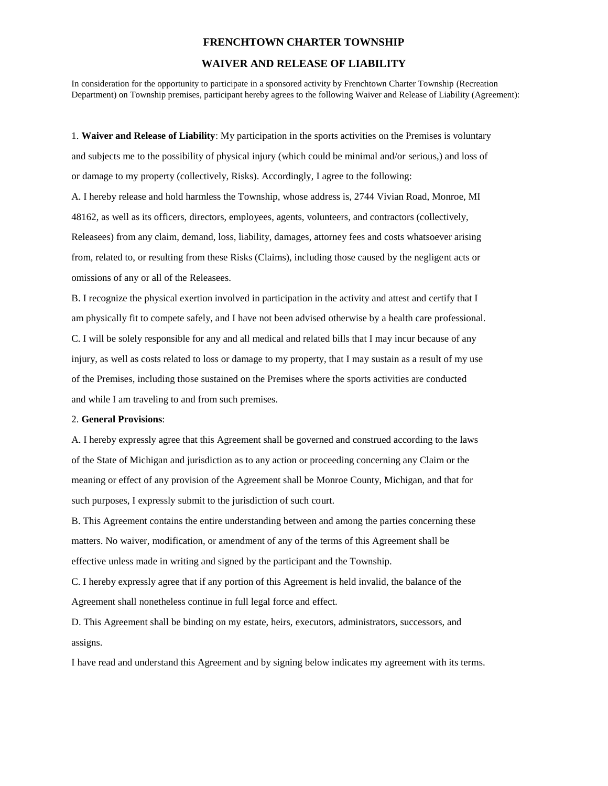## **FRENCHTOWN CHARTER TOWNSHIP**

## **WAIVER AND RELEASE OF LIABILITY**

In consideration for the opportunity to participate in a sponsored activity by Frenchtown Charter Township (Recreation Department) on Township premises, participant hereby agrees to the following Waiver and Release of Liability (Agreement):

1. **Waiver and Release of Liability**: My participation in the sports activities on the Premises is voluntary and subjects me to the possibility of physical injury (which could be minimal and/or serious,) and loss of or damage to my property (collectively, Risks). Accordingly, I agree to the following:

A. I hereby release and hold harmless the Township, whose address is, 2744 Vivian Road, Monroe, MI 48162, as well as its officers, directors, employees, agents, volunteers, and contractors (collectively, Releasees) from any claim, demand, loss, liability, damages, attorney fees and costs whatsoever arising from, related to, or resulting from these Risks (Claims), including those caused by the negligent acts or omissions of any or all of the Releasees.

B. I recognize the physical exertion involved in participation in the activity and attest and certify that I am physically fit to compete safely, and I have not been advised otherwise by a health care professional. C. I will be solely responsible for any and all medical and related bills that I may incur because of any injury, as well as costs related to loss or damage to my property, that I may sustain as a result of my use of the Premises, including those sustained on the Premises where the sports activities are conducted and while I am traveling to and from such premises.

## 2. **General Provisions**:

A. I hereby expressly agree that this Agreement shall be governed and construed according to the laws of the State of Michigan and jurisdiction as to any action or proceeding concerning any Claim or the meaning or effect of any provision of the Agreement shall be Monroe County, Michigan, and that for such purposes, I expressly submit to the jurisdiction of such court.

B. This Agreement contains the entire understanding between and among the parties concerning these matters. No waiver, modification, or amendment of any of the terms of this Agreement shall be effective unless made in writing and signed by the participant and the Township.

C. I hereby expressly agree that if any portion of this Agreement is held invalid, the balance of the Agreement shall nonetheless continue in full legal force and effect.

D. This Agreement shall be binding on my estate, heirs, executors, administrators, successors, and assigns.

I have read and understand this Agreement and by signing below indicates my agreement with its terms.